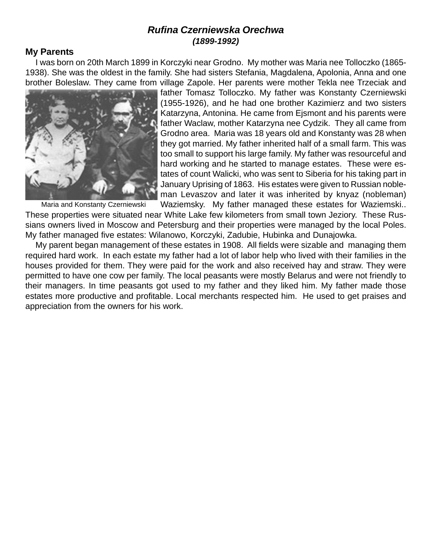# **Rufina Czerniewska Orechwa (1899-1992)**

# **My Parents**

I was born on 20th March 1899 in Korczyki near Grodno. My mother was Maria nee Tolloczko (1865- 1938). She was the oldest in the family. She had sisters Stefania, Magdalena, Apolonia, Anna and one brother Boleslaw. They came from village Zapole. Her parents were mother Tekla nee Trzeciak and



Maria and Konstanty Czerniewski

father Tomasz Tolloczko. My father was Konstanty Czerniewski (1955-1926), and he had one brother Kazimierz and two sisters Katarzyna, Antonina. He came from Ejsmont and his parents were father Waclaw, mother Katarzyna nee Cydzik. They all came from Grodno area. Maria was 18 years old and Konstanty was 28 when they got married. My father inherited half of a small farm. This was too small to support his large family. My father was resourceful and hard working and he started to manage estates. These were estates of count Walicki, who was sent to Siberia for his taking part in January Uprising of 1863. His estates were given to Russian nobleman Levaszov and later it was inherited by knyaz (nobleman) Waziemsky. My father managed these estates for Waziemski..

These properties were situated near White Lake few kilometers from small town Jeziory. These Russians owners lived in Moscow and Petersburg and their properties were managed by the local Poles. My father managed five estates: Wilanowo, Korczyki, Zadubie, Hubinka and Dunajowka.

My parent began management of these estates in 1908. All fields were sizable and managing them required hard work. In each estate my father had a lot of labor help who lived with their families in the houses provided for them. They were paid for the work and also received hay and straw. They were permitted to have one cow per family. The local peasants were mostly Belarus and were not friendly to their managers. In time peasants got used to my father and they liked him. My father made those estates more productive and profitable. Local merchants respected him. He used to get praises and appreciation from the owners for his work.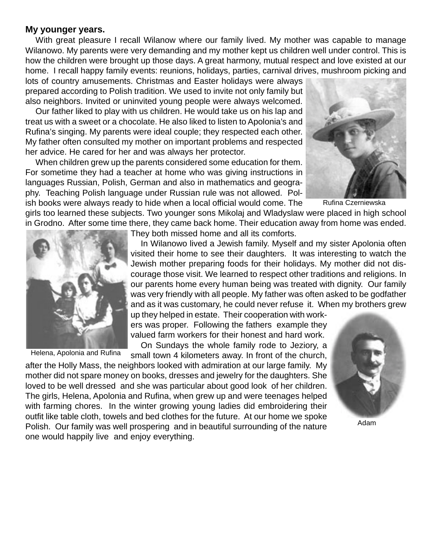#### **My younger years.**

With great pleasure I recall Wilanow where our family lived. My mother was capable to manage Wilanowo. My parents were very demanding and my mother kept us children well under control. This is how the children were brought up those days. A great harmony, mutual respect and love existed at our home. I recall happy family events: reunions, holidays, parties, carnival drives, mushroom picking and

lots of country amusements. Christmas and Easter holidays were always prepared according to Polish tradition. We used to invite not only family but also neighbors. Invited or uninvited young people were always welcomed.

Our father liked to play with us children. He would take us on his lap and treat us with a sweet or a chocolate. He also liked to listen to Apolonia's and Rufina's singing. My parents were ideal couple; they respected each other. My father often consulted my mother on important problems and respected her advice. He cared for her and was always her protector.

When children grew up the parents considered some education for them. For sometime they had a teacher at home who was giving instructions in languages Russian, Polish, German and also in mathematics and geography. Teaching Polish language under Russian rule was not allowed. Polish books were always ready to hide when a local official would come. The



Rufina Czerniewska

girls too learned these subjects. Two younger sons Mikolaj and Wladyslaw were placed in high school in Grodno. After some time there, they came back home. Their education away from home was ended.



Helena, Apolonia and Rufina

They both missed home and all its comforts.

In Wilanowo lived a Jewish family. Myself and my sister Apolonia often visited their home to see their daughters. It was interesting to watch the Jewish mother preparing foods for their holidays. My mother did not discourage those visit. We learned to respect other traditions and religions. In our parents home every human being was treated with dignity. Our family was very friendly with all people. My father was often asked to be godfather and as it was customary, he could never refuse it. When my brothers grew

up they helped in estate. Their cooperation with workers was proper. Following the fathers example they valued farm workers for their honest and hard work.

On Sundays the whole family rode to Jeziory, a small town 4 kilometers away. In front of the church,

after the Holly Mass, the neighbors looked with admiration at our large family. My mother did not spare money on books, dresses and jewelry for the daughters. She loved to be well dressed and she was particular about good look of her children. The girls, Helena, Apolonia and Rufina, when grew up and were teenages helped with farming chores. In the winter growing young ladies did embroidering their outfit like table cloth, towels and bed clothes for the future. At our home we spoke Polish. Our family was well prospering and in beautiful surrounding of the nature one would happily live and enjoy everything.

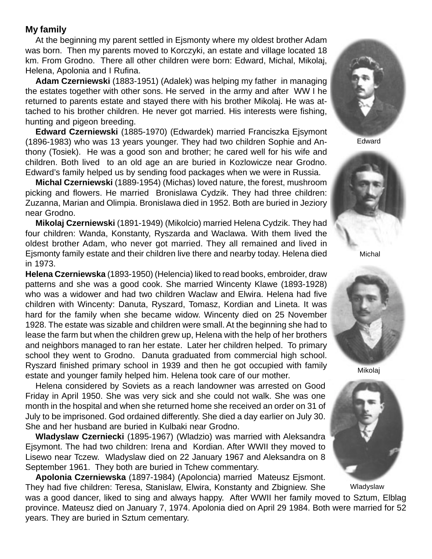# **My family**

At the beginning my parent settled in Ejsmonty where my oldest brother Adam was born. Then my parents moved to Korczyki, an estate and village located 18 km. From Grodno. There all other children were born: Edward, Michal, Mikolaj, Helena, Apolonia and I Rufina.

**Adam Czerniewski** (1883-1951) (Adalek) was helping my father in managing the estates together with other sons. He served in the army and after WW I he returned to parents estate and stayed there with his brother Mikolaj. He was attached to his brother children. He never got married. His interests were fishing, hunting and pigeon breeding.

**Edward Czerniewski** (1885-1970) (Edwardek) married Franciszka Ejsymont (1896-1983) who was 13 years younger. They had two children Sophie and Anthony (Tosiek). He was a good son and brother; he cared well for his wife and children. Both lived to an old age an are buried in Kozlowicze near Grodno. Edward's family helped us by sending food packages when we were in Russia.

**Michal Czerniewski** (1889-1954) (Michas) loved nature, the forest, mushroom picking and flowers. He married Bronislawa Cydzik. They had three children: Zuzanna, Marian and Olimpia. Bronislawa died in 1952. Both are buried in Jeziory near Grodno.

**Mikolaj Czerniewski** (1891-1949) (Mikolcio) married Helena Cydzik. They had four children: Wanda, Konstanty, Ryszarda and Waclawa. With them lived the oldest brother Adam, who never got married. They all remained and lived in Ejsmonty family estate and their children live there and nearby today. Helena died in 1973.

**Helena Czerniewska** (1893-1950) (Helencia) liked to read books, embroider, draw patterns and she was a good cook. She married Wincenty Klawe (1893-1928) who was a widower and had two children Waclaw and Elwira. Helena had five children with Wincenty: Danuta, Ryszard, Tomasz, Kordian and Lineta. It was hard for the family when she became widow. Wincenty died on 25 November 1928. The estate was sizable and children were small. At the beginning she had to lease the farm but when the children grew up, Helena with the help of her brothers and neighbors managed to ran her estate. Later her children helped. To primary school they went to Grodno. Danuta graduated from commercial high school. Ryszard finished primary school in 1939 and then he got occupied with family estate and younger family helped him. Helena took care of our mother.

Helena considered by Soviets as a reach landowner was arrested on Good Friday in April 1950. She was very sick and she could not walk. She was one month in the hospital and when she returned home she received an order on 31 of July to be imprisoned. God ordained differently. She died a day earlier on July 30. She and her husband are buried in Kulbaki near Grodno.

**Wladyslaw Czerniecki** (1895-1967) (Wladzio) was married with Aleksandra Ejsymont. The had two children: Irena and Kordian. After WWII they moved to Lisewo near Tczew. Wladyslaw died on 22 January 1967 and Aleksandra on 8 September 1961. They both are buried in Tchew commentary.

**Apolonia Czerniewska** (1897-1984) (Apoloncia) married Mateusz Ejsmont. They had five children: Teresa, Stanislaw, Elwira, Konstanty and Zbigniew. She

was a good dancer, liked to sing and always happy. After WWII her family moved to Sztum, Elblag province. Mateusz died on January 7, 1974. Apolonia died on April 29 1984. Both were married for 52 years. They are buried in Sztum cementary.



Edward



Michal



Mikolaj



Wladyslaw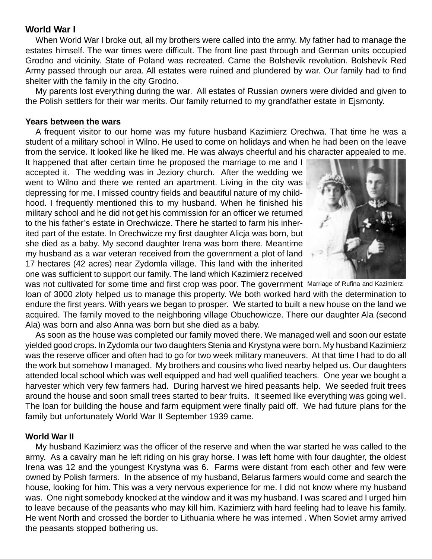# **World War I**

When World War I broke out, all my brothers were called into the army. My father had to manage the estates himself. The war times were difficult. The front line past through and German units occupied Grodno and vicinity. State of Poland was recreated. Came the Bolshevik revolution. Bolshevik Red Army passed through our area. All estates were ruined and plundered by war. Our family had to find shelter with the family in the city Grodno.

My parents lost everything during the war. All estates of Russian owners were divided and given to the Polish settlers for their war merits. Our family returned to my grandfather estate in Ejsmonty.

## **Years between the wars**

A frequent visitor to our home was my future husband Kazimierz Orechwa. That time he was a student of a military school in Wilno. He used to come on holidays and when he had been on the leave from the service. It looked like he liked me. He was always cheerful and his character appealed to me.

It happened that after certain time he proposed the marriage to me and I accepted it. The wedding was in Jeziory church. After the wedding we went to Wilno and there we rented an apartment. Living in the city was depressing for me. I missed country fields and beautiful nature of my childhood. I frequently mentioned this to my husband. When he finished his military school and he did not get his commission for an officer we returned to the his father's estate in Orechwicze. There he started to farm his inherited part of the estate. In Orechwicze my first daughter Alicja was born, but she died as a baby. My second daughter Irena was born there. Meantime my husband as a war veteran received from the government a plot of land 17 hectares (42 acres) near Zydomla village. This land with the inherited one was sufficient to support our family. The land which Kazimierz received



was not cultivated for some time and first crop was poor. The government Marriage of Rufina and Kazimierzloan of 3000 zloty helped us to manage this property. We both worked hard with the determination to endure the first years. With years we began to prosper. We started to built a new house on the land we acquired. The family moved to the neighboring village Obuchowicze. There our daughter Ala (second Ala) was born and also Anna was born but she died as a baby.

As soon as the house was completed our family moved there. We managed well and soon our estate yielded good crops. In Zydomla our two daughters Stenia and Krystyna were born. My husband Kazimierz was the reserve officer and often had to go for two week military maneuvers. At that time I had to do all the work but somehow I managed. My brothers and cousins who lived nearby helped us. Our daughters attended local school which was well equipped and had well qualified teachers. One year we bought a harvester which very few farmers had. During harvest we hired peasants help. We seeded fruit trees around the house and soon small trees started to bear fruits. It seemed like everything was going well. The loan for building the house and farm equipment were finally paid off. We had future plans for the family but unfortunately World War II September 1939 came.

# **World War II**

My husband Kazimierz was the officer of the reserve and when the war started he was called to the army. As a cavalry man he left riding on his gray horse. I was left home with four daughter, the oldest Irena was 12 and the youngest Krystyna was 6. Farms were distant from each other and few were owned by Polish farmers. In the absence of my husband, Belarus farmers would come and search the house, looking for him. This was a very nervous experience for me. I did not know where my husband was. One night somebody knocked at the window and it was my husband. I was scared and I urged him to leave because of the peasants who may kill him. Kazimierz with hard feeling had to leave his family. He went North and crossed the border to Lithuania where he was interned . When Soviet army arrived the peasants stopped bothering us.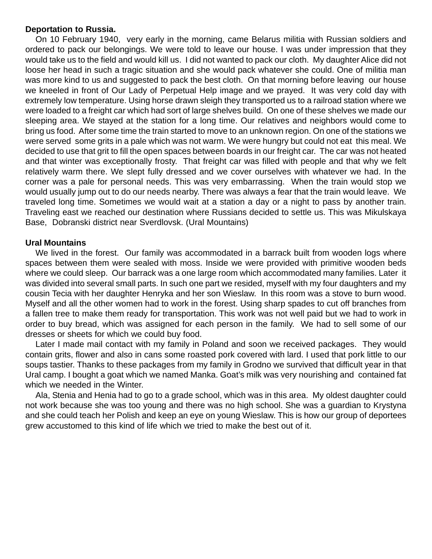## **Deportation to Russia.**

On 10 February 1940, very early in the morning, came Belarus militia with Russian soldiers and ordered to pack our belongings. We were told to leave our house. I was under impression that they would take us to the field and would kill us. I did not wanted to pack our cloth. My daughter Alice did not loose her head in such a tragic situation and she would pack whatever she could. One of militia man was more kind to us and suggested to pack the best cloth. On that morning before leaving our house we kneeled in front of Our Lady of Perpetual Help image and we prayed. It was very cold day with extremely low temperature. Using horse drawn sleigh they transported us to a railroad station where we were loaded to a freight car which had sort of large shelves build. On one of these shelves we made our sleeping area. We stayed at the station for a long time. Our relatives and neighbors would come to bring us food. After some time the train started to move to an unknown region. On one of the stations we were served some grits in a pale which was not warm. We were hungry but could not eat this meal. We decided to use that grit to fill the open spaces between boards in our freight car. The car was not heated and that winter was exceptionally frosty. That freight car was filled with people and that why we felt relatively warm there. We slept fully dressed and we cover ourselves with whatever we had. In the corner was a pale for personal needs. This was very embarrassing. When the train would stop we would usually jump out to do our needs nearby. There was always a fear that the train would leave. We traveled long time. Sometimes we would wait at a station a day or a night to pass by another train. Traveling east we reached our destination where Russians decided to settle us. This was Mikulskaya Base, Dobranski district near Sverdlovsk. (Ural Mountains)

## **Ural Mountains**

We lived in the forest. Our family was accommodated in a barrack built from wooden logs where spaces between them were sealed with moss. Inside we were provided with primitive wooden beds where we could sleep. Our barrack was a one large room which accommodated many families. Later it was divided into several small parts. In such one part we resided, myself with my four daughters and my cousin Tecia with her daughter Henryka and her son Wieslaw. In this room was a stove to burn wood. Myself and all the other women had to work in the forest. Using sharp spades to cut off branches from a fallen tree to make them ready for transportation. This work was not well paid but we had to work in order to buy bread, which was assigned for each person in the family. We had to sell some of our dresses or sheets for which we could buy food.

Later I made mail contact with my family in Poland and soon we received packages. They would contain grits, flower and also in cans some roasted pork covered with lard. I used that pork little to our soups tastier. Thanks to these packages from my family in Grodno we survived that difficult year in that Ural camp. I bought a goat which we named Manka. Goat's milk was very nourishing and contained fat which we needed in the Winter.

Ala, Stenia and Henia had to go to a grade school, which was in this area. My oldest daughter could not work because she was too young and there was no high school. She was a guardian to Krystyna and she could teach her Polish and keep an eye on young Wieslaw. This is how our group of deportees grew accustomed to this kind of life which we tried to make the best out of it.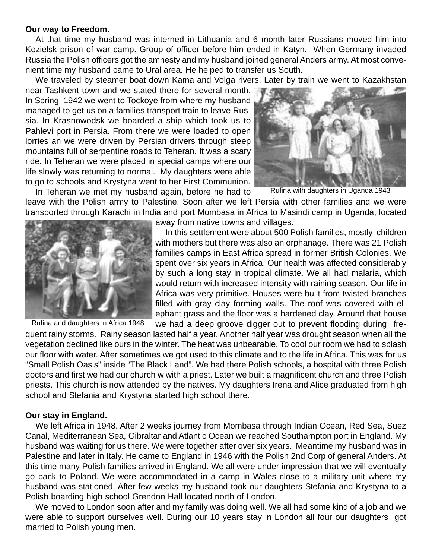#### **Our way to Freedom.**

At that time my husband was interned in Lithuania and 6 month later Russians moved him into Kozielsk prison of war camp. Group of officer before him ended in Katyn. When Germany invaded Russia the Polish officers got the amnesty and my husband joined general Anders army. At most convenient time my husband came to Ural area. He helped to transfer us South.

We traveled by steamer boat down Kama and Volga rivers. Later by train we went to Kazakhstan

near Tashkent town and we stated there for several month. In Spring 1942 we went to Tockoye from where my husband managed to get us on a families transport train to leave Russia. In Krasnowodsk we boarded a ship which took us to Pahlevi port in Persia. From there we were loaded to open lorries an we were driven by Persian drivers through steep mountains full of serpentine roads to Teheran. It was a scary ride. In Teheran we were placed in special camps where our life slowly was returning to normal. My daughters were able to go to schools and Krystyna went to her First Communion.



Rufina with daughters in Uganda 1943

In Teheran we met my husband again, before he had to leave with the Polish army to Palestine. Soon after we left Persia with other families and we were transported through Karachi in India and port Mombasa in Africa to Masindi camp in Uganda, located



Rufina and daughters in Africa 1948

away from native towns and villages.

In this settlement were about 500 Polish families, mostly children with mothers but there was also an orphanage. There was 21 Polish families camps in East Africa spread in former British Colonies. We spent over six years in Africa. Our health was affected considerably by such a long stay in tropical climate. We all had malaria, which would return with increased intensity with raining season. Our life in Africa was very primitive. Houses were built from twisted branches filled with gray clay forming walls. The roof was covered with elephant grass and the floor was a hardened clay. Around that house we had a deep groove digger out to prevent flooding during fre-

quent rainy storms. Rainy season lasted half a year. Another half year was drought season when all the vegetation declined like ours in the winter. The heat was unbearable. To cool our room we had to splash our floor with water. After sometimes we got used to this climate and to the life in Africa. This was for us "Small Polish Oasis" inside "The Black Land". We had there Polish schools, a hospital with three Polish doctors and first we had our church w with a priest. Later we built a magnificent church and three Polish priests. This church is now attended by the natives. My daughters Irena and Alice graduated from high school and Stefania and Krystyna started high school there.

#### **Our stay in England.**

We left Africa in 1948. After 2 weeks journey from Mombasa through Indian Ocean, Red Sea, Suez Canal, Mediterranean Sea, Gibraltar and Atlantic Ocean we reached Southampton port in England. My husband was waiting for us there. We were together after over six years. Meantime my husband was in Palestine and later in Italy. He came to England in 1946 with the Polish 2nd Corp of general Anders. At this time many Polish families arrived in England. We all were under impression that we will eventually go back to Poland. We were accommodated in a camp in Wales close to a military unit where my husband was stationed. After few weeks my husband took our daughters Stefania and Krystyna to a Polish boarding high school Grendon Hall located north of London.

We moved to London soon after and my family was doing well. We all had some kind of a job and we were able to support ourselves well. During our 10 years stay in London all four our daughters got married to Polish young men.